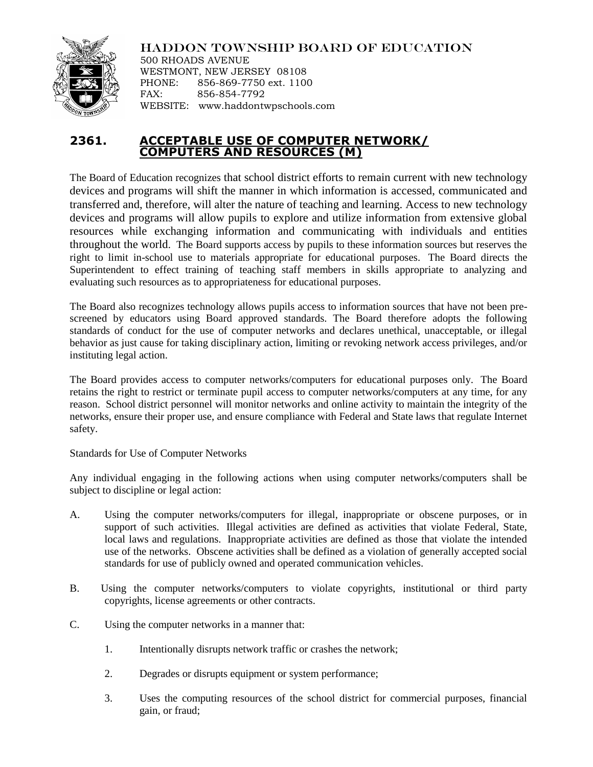

HADDON TOWNSHIP BOARD OF EDUCATION 500 RHOADS AVENUE WESTMONT, NEW JERSEY 08108 PHONE: 856-869-7750 ext. 1100 FAX: 856-854-7792 WEBSITE: www.haddontwpschools.com

## **2361. ACCEPTABLE USE OF COMPUTER NETWORK/ COMPUTERS AND RESOURCES (M)**

The Board of Education recognizes that school district efforts to remain current with new technology devices and programs will shift the manner in which information is accessed, communicated and transferred and, therefore, will alter the nature of teaching and learning. Access to new technology devices and programs will allow pupils to explore and utilize information from extensive global resources while exchanging information and communicating with individuals and entities throughout the world. The Board supports access by pupils to these information sources but reserves the right to limit in-school use to materials appropriate for educational purposes. The Board directs the Superintendent to effect training of teaching staff members in skills appropriate to analyzing and evaluating such resources as to appropriateness for educational purposes.

The Board also recognizes technology allows pupils access to information sources that have not been prescreened by educators using Board approved standards. The Board therefore adopts the following standards of conduct for the use of computer networks and declares unethical, unacceptable, or illegal behavior as just cause for taking disciplinary action, limiting or revoking network access privileges, and/or instituting legal action.

The Board provides access to computer networks/computers for educational purposes only. The Board retains the right to restrict or terminate pupil access to computer networks/computers at any time, for any reason. School district personnel will monitor networks and online activity to maintain the integrity of the networks, ensure their proper use, and ensure compliance with Federal and State laws that regulate Internet safety.

Standards for Use of Computer Networks

Any individual engaging in the following actions when using computer networks/computers shall be subject to discipline or legal action:

- A. Using the computer networks/computers for illegal, inappropriate or obscene purposes, or in support of such activities. Illegal activities are defined as activities that violate Federal, State, local laws and regulations. Inappropriate activities are defined as those that violate the intended use of the networks. Obscene activities shall be defined as a violation of generally accepted social standards for use of publicly owned and operated communication vehicles.
- B. Using the computer networks/computers to violate copyrights, institutional or third party copyrights, license agreements or other contracts.
- C. Using the computer networks in a manner that:
	- 1. Intentionally disrupts network traffic or crashes the network;
	- 2. Degrades or disrupts equipment or system performance;
	- 3. Uses the computing resources of the school district for commercial purposes, financial gain, or fraud;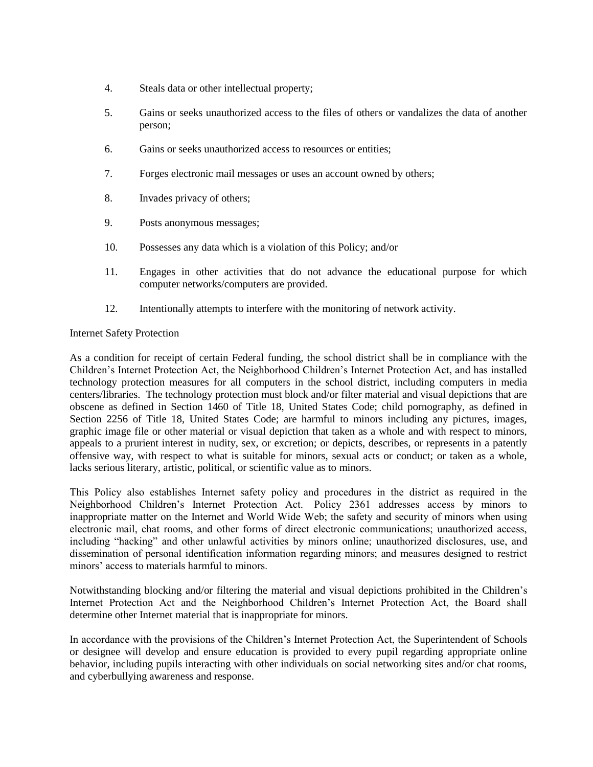- 4. Steals data or other intellectual property;
- 5. Gains or seeks unauthorized access to the files of others or vandalizes the data of another person;
- 6. Gains or seeks unauthorized access to resources or entities;
- 7. Forges electronic mail messages or uses an account owned by others;
- 8. Invades privacy of others;
- 9. Posts anonymous messages;
- 10. Possesses any data which is a violation of this Policy; and/or
- 11. Engages in other activities that do not advance the educational purpose for which computer networks/computers are provided.
- 12. Intentionally attempts to interfere with the monitoring of network activity.

## Internet Safety Protection

As a condition for receipt of certain Federal funding, the school district shall be in compliance with the Children's Internet Protection Act, the Neighborhood Children's Internet Protection Act, and has installed technology protection measures for all computers in the school district, including computers in media centers/libraries. The technology protection must block and/or filter material and visual depictions that are obscene as defined in Section 1460 of Title 18, United States Code; child pornography, as defined in Section 2256 of Title 18, United States Code; are harmful to minors including any pictures, images, graphic image file or other material or visual depiction that taken as a whole and with respect to minors, appeals to a prurient interest in nudity, sex, or excretion; or depicts, describes, or represents in a patently offensive way, with respect to what is suitable for minors, sexual acts or conduct; or taken as a whole, lacks serious literary, artistic, political, or scientific value as to minors.

This Policy also establishes Internet safety policy and procedures in the district as required in the Neighborhood Children's Internet Protection Act. Policy 2361 addresses access by minors to inappropriate matter on the Internet and World Wide Web; the safety and security of minors when using electronic mail, chat rooms, and other forms of direct electronic communications; unauthorized access, including "hacking" and other unlawful activities by minors online; unauthorized disclosures, use, and dissemination of personal identification information regarding minors; and measures designed to restrict minors' access to materials harmful to minors.

Notwithstanding blocking and/or filtering the material and visual depictions prohibited in the Children's Internet Protection Act and the Neighborhood Children's Internet Protection Act, the Board shall determine other Internet material that is inappropriate for minors.

In accordance with the provisions of the Children's Internet Protection Act, the Superintendent of Schools or designee will develop and ensure education is provided to every pupil regarding appropriate online behavior, including pupils interacting with other individuals on social networking sites and/or chat rooms, and cyberbullying awareness and response.